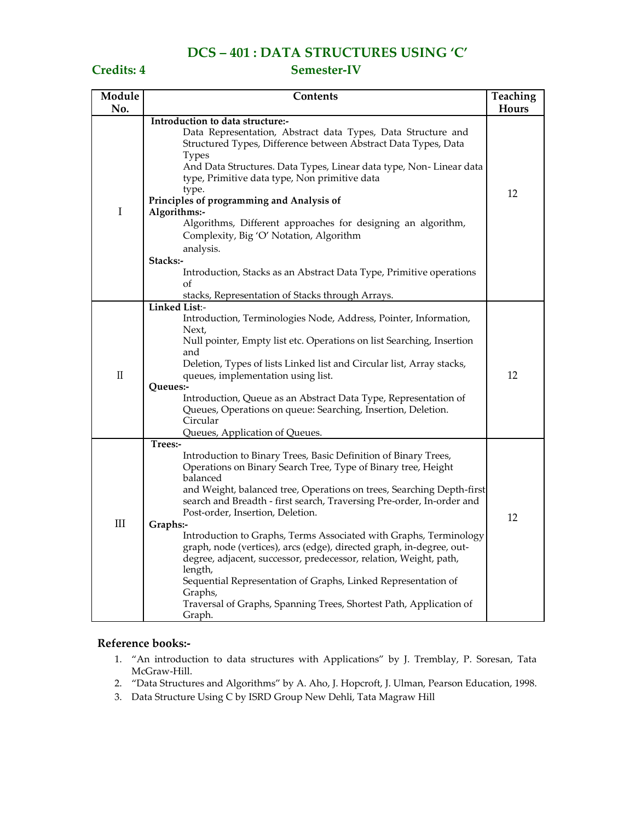## **DCS – 401 : DATA STRUCTURES USING 'C'**

### **Credits: 4 Semester-IV**

| Module      | Contents<br>Teaching                                                                                                                                                                                                                                                                                                                                                                                                                                                                                                                                                                                                                                                                                                                               |    |
|-------------|----------------------------------------------------------------------------------------------------------------------------------------------------------------------------------------------------------------------------------------------------------------------------------------------------------------------------------------------------------------------------------------------------------------------------------------------------------------------------------------------------------------------------------------------------------------------------------------------------------------------------------------------------------------------------------------------------------------------------------------------------|----|
| No.         |                                                                                                                                                                                                                                                                                                                                                                                                                                                                                                                                                                                                                                                                                                                                                    |    |
| $\mathbf I$ | Introduction to data structure:-<br>Data Representation, Abstract data Types, Data Structure and<br>Structured Types, Difference between Abstract Data Types, Data<br><b>Types</b><br>And Data Structures. Data Types, Linear data type, Non-Linear data<br>type, Primitive data type, Non primitive data<br>type.<br>Principles of programming and Analysis of<br>Algorithms:-<br>Algorithms, Different approaches for designing an algorithm,<br>Complexity, Big 'O' Notation, Algorithm                                                                                                                                                                                                                                                         | 12 |
|             | analysis.<br>Stacks:-<br>Introduction, Stacks as an Abstract Data Type, Primitive operations<br>οf<br>stacks, Representation of Stacks through Arrays.                                                                                                                                                                                                                                                                                                                                                                                                                                                                                                                                                                                             |    |
| $\rm II$    | Linked List:-<br>Introduction, Terminologies Node, Address, Pointer, Information,<br>Next,<br>Null pointer, Empty list etc. Operations on list Searching, Insertion<br>and<br>Deletion, Types of lists Linked list and Circular list, Array stacks,<br>queues, implementation using list.<br>Queues:-<br>Introduction, Queue as an Abstract Data Type, Representation of<br>Queues, Operations on queue: Searching, Insertion, Deletion.<br>Circular<br>Queues, Application of Queues.                                                                                                                                                                                                                                                             | 12 |
| III         | Trees:-<br>Introduction to Binary Trees, Basic Definition of Binary Trees,<br>Operations on Binary Search Tree, Type of Binary tree, Height<br>balanced<br>and Weight, balanced tree, Operations on trees, Searching Depth-first<br>search and Breadth - first search, Traversing Pre-order, In-order and<br>Post-order, Insertion, Deletion.<br>Graphs:-<br>Introduction to Graphs, Terms Associated with Graphs, Terminology<br>graph, node (vertices), arcs (edge), directed graph, in-degree, out-<br>degree, adjacent, successor, predecessor, relation, Weight, path,<br>length,<br>Sequential Representation of Graphs, Linked Representation of<br>Graphs,<br>Traversal of Graphs, Spanning Trees, Shortest Path, Application of<br>Graph. | 12 |

### **Reference books:-**

- 1. "An introduction to data structures with Applications" by J. Tremblay, P. Soresan, Tata McGraw-Hill.
- 2. "Data Structures and Algorithms" by A. Aho, J. Hopcroft, J. Ulman, Pearson Education, 1998.
- 3. Data Structure Using C by ISRD Group New Dehli, Tata Magraw Hill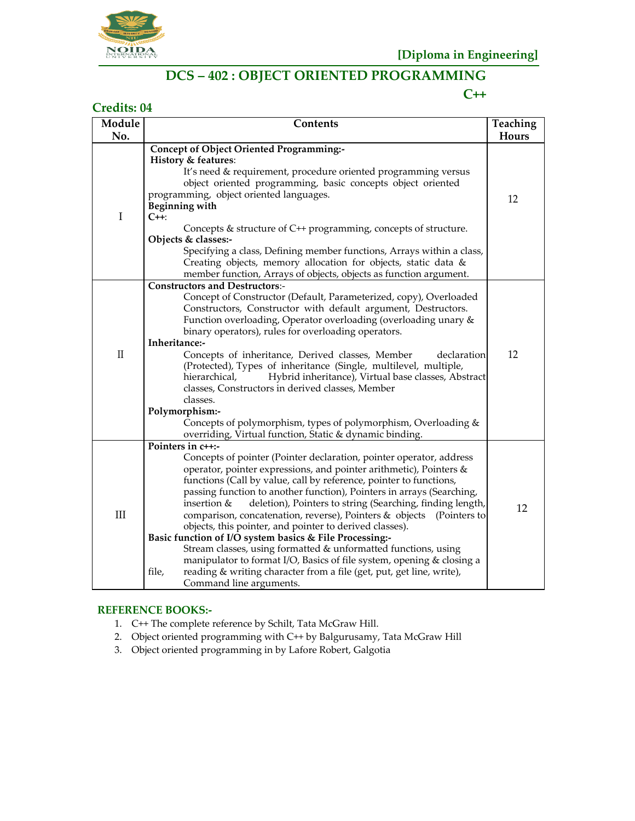

## **DCS – 402 : OBJECT ORIENTED PROGRAMMING**

### **C++**

| <b>Credits: 04</b> |                                                                                                                                                                                                                                                                                                                                                                                                                                                                                                                                                                                                                                                                                                                                                                                                                                                   |                   |  |
|--------------------|---------------------------------------------------------------------------------------------------------------------------------------------------------------------------------------------------------------------------------------------------------------------------------------------------------------------------------------------------------------------------------------------------------------------------------------------------------------------------------------------------------------------------------------------------------------------------------------------------------------------------------------------------------------------------------------------------------------------------------------------------------------------------------------------------------------------------------------------------|-------------------|--|
| Module<br>No.      | Contents                                                                                                                                                                                                                                                                                                                                                                                                                                                                                                                                                                                                                                                                                                                                                                                                                                          | Teaching<br>Hours |  |
| $\bf I$            | Concept of Object Oriented Programming:-<br><b>History &amp; features:</b><br>It's need & requirement, procedure oriented programming versus<br>object oriented programming, basic concepts object oriented<br>programming, object oriented languages.<br><b>Beginning with</b><br>C++:<br>Concepts & structure of C++ programming, concepts of structure.<br>Objects & classes:-<br>Specifying a class, Defining member functions, Arrays within a class,<br>Creating objects, memory allocation for objects, static data &<br>member function, Arrays of objects, objects as function argument.                                                                                                                                                                                                                                                 | 12                |  |
| $\mathbf{I}$       | <b>Constructors and Destructors:-</b><br>Concept of Constructor (Default, Parameterized, copy), Overloaded<br>Constructors, Constructor with default argument, Destructors.<br>Function overloading, Operator overloading (overloading unary &<br>binary operators), rules for overloading operators.<br>Inheritance:-<br>Concepts of inheritance, Derived classes, Member<br>declaration<br>(Protected), Types of inheritance (Single, multilevel, multiple,<br>Hybrid inheritance), Virtual base classes, Abstract<br>hierarchical,<br>classes, Constructors in derived classes, Member<br>classes.<br>Polymorphism:-<br>Concepts of polymorphism, types of polymorphism, Overloading &<br>overriding, Virtual function, Static & dynamic binding.                                                                                              | 12                |  |
| $III$              | Pointers in c++:-<br>Concepts of pointer (Pointer declaration, pointer operator, address<br>operator, pointer expressions, and pointer arithmetic), Pointers &<br>functions (Call by value, call by reference, pointer to functions,<br>passing function to another function), Pointers in arrays (Searching,<br>deletion), Pointers to string (Searching, finding length,<br>insertion &<br>comparison, concatenation, reverse), Pointers & objects<br>(Pointers to<br>objects, this pointer, and pointer to derived classes).<br>Basic function of I/O system basics & File Processing:-<br>Stream classes, using formatted & unformatted functions, using<br>manipulator to format I/O, Basics of file system, opening & closing a<br>reading & writing character from a file (get, put, get line, write),<br>file,<br>Command line arguments. | 12                |  |

### **REFERENCE BOOKS:-**

- 1. C++ The complete reference by Schilt, Tata McGraw Hill.
- 2. Object oriented programming with C++ by Balgurusamy, Tata McGraw Hill
- 3. Object oriented programming in by Lafore Robert, Galgotia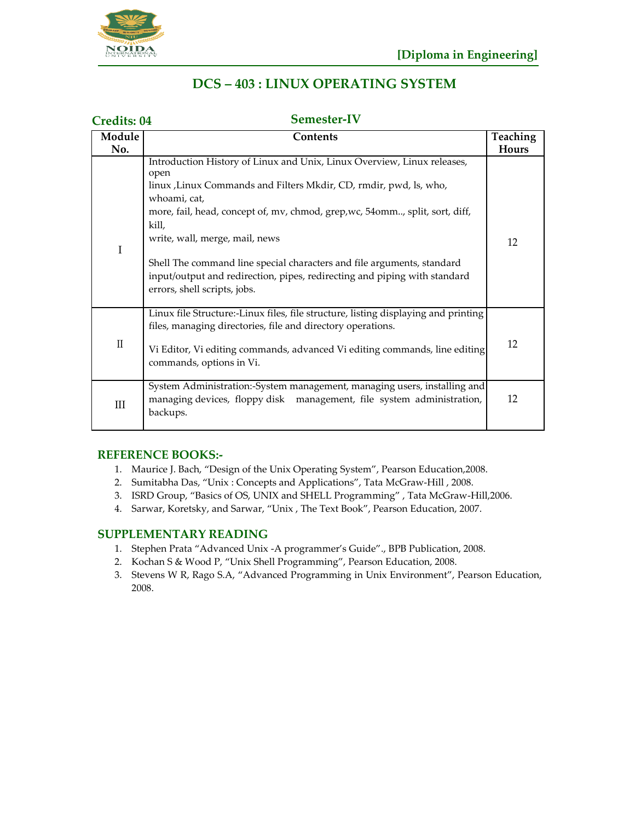

## **DCS – 403 : LINUX OPERATING SYSTEM**

| Semester-IV<br><b>Credits: 04</b> |                                                                                                                                                                                                                                                                                                                                                                                                                                                                                         |                   |
|-----------------------------------|-----------------------------------------------------------------------------------------------------------------------------------------------------------------------------------------------------------------------------------------------------------------------------------------------------------------------------------------------------------------------------------------------------------------------------------------------------------------------------------------|-------------------|
| Module<br>No.                     | Contents                                                                                                                                                                                                                                                                                                                                                                                                                                                                                | Teaching<br>Hours |
| I                                 | Introduction History of Linux and Unix, Linux Overview, Linux releases,<br>open<br>linux , Linux Commands and Filters Mkdir, CD, rmdir, pwd, ls, who,<br>whoami, cat,<br>more, fail, head, concept of, mv, chmod, grep, wc, 54omm, split, sort, diff,<br>kill,<br>write, wall, merge, mail, news<br>Shell The command line special characters and file arguments, standard<br>input/output and redirection, pipes, redirecting and piping with standard<br>errors, shell scripts, jobs. | 12                |
| $\rm II$                          | Linux file Structure:-Linux files, file structure, listing displaying and printing<br>files, managing directories, file and directory operations.<br>Vi Editor, Vi editing commands, advanced Vi editing commands, line editing<br>commands, options in Vi.                                                                                                                                                                                                                             | 12                |
| III                               | System Administration:-System management, managing users, installing and<br>managing devices, floppy disk management, file system administration,<br>backups.                                                                                                                                                                                                                                                                                                                           | 12                |

### **REFERENCE BOOKS:-**

- 1. Maurice J. Bach, "Design of the Unix Operating System", Pearson Education,2008.
- 2. Sumitabha Das, "Unix : Concepts and Applications", Tata McGraw-Hill , 2008.
- 3. ISRD Group, "Basics of OS, UNIX and SHELL Programming" , Tata McGraw-Hill,2006.
- 4. Sarwar, Koretsky, and Sarwar, "Unix , The Text Book", Pearson Education, 2007.

### **SUPPLEMENTARY READING**

- 1. Stephen Prata "Advanced Unix -A programmer's Guide"., BPB Publication, 2008.
- 2. Kochan S & Wood P, "Unix Shell Programming", Pearson Education, 2008.
- 3. Stevens W R, Rago S.A, "Advanced Programming in Unix Environment", Pearson Education, 2008.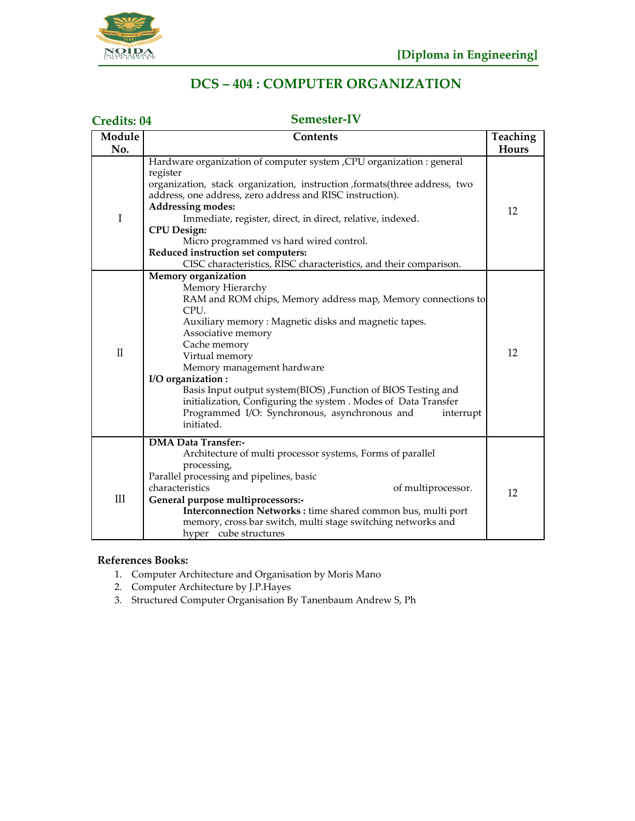

## **DCS – 404 : COMPUTER ORGANIZATION**

#### **Credits: 04 Semester-IV Module Contents Teaching No. Hours** Hardware organization of computer system ,CPU organization : general register organization, stack organization, instruction ,formats(three address, two address, one address, zero address and RISC instruction).<br>Addressing modes: **Addressing modes:** 12<br>I Immediate, register, direct, in direct, relative, indexed. **CPU Design:** Micro programmed vs hard wired control. **Reduced instruction set computers:** CISC characteristics, RISC characteristics, and their comparison. **Memory organization** Memory Hierarchy RAM and ROM chips, Memory address map, Memory connections to CPU. Auxiliary memory : Magnetic disks and magnetic tapes. Associative memory II Cache memory Virtual memory 12 Memory management hardware **I/O organization :** Basis Input output system(BIOS) ,Function of BIOS Testing and initialization, Configuring the system . Modes of Data Transfer Programmed I/O: Synchronous, asynchronous and interrupt initiated. **DMA Data Transfer:-** Architecture of multi processor systems, Forms of parallel processing, Parallel processing and pipelines, basic characteristics of multiprocessor. 12 **General purpose multiprocessors: Interconnection Networks :** time shared common bus, multi port memory, cross bar switch, multi stage switching networks and hyper cube structures

### **References Books:**

- 1. Computer Architecture and Organisation by Moris Mano
- 2. Computer Architecture by J.P.Hayes
- 3. Structured Computer Organisation By Tanenbaum Andrew S, Ph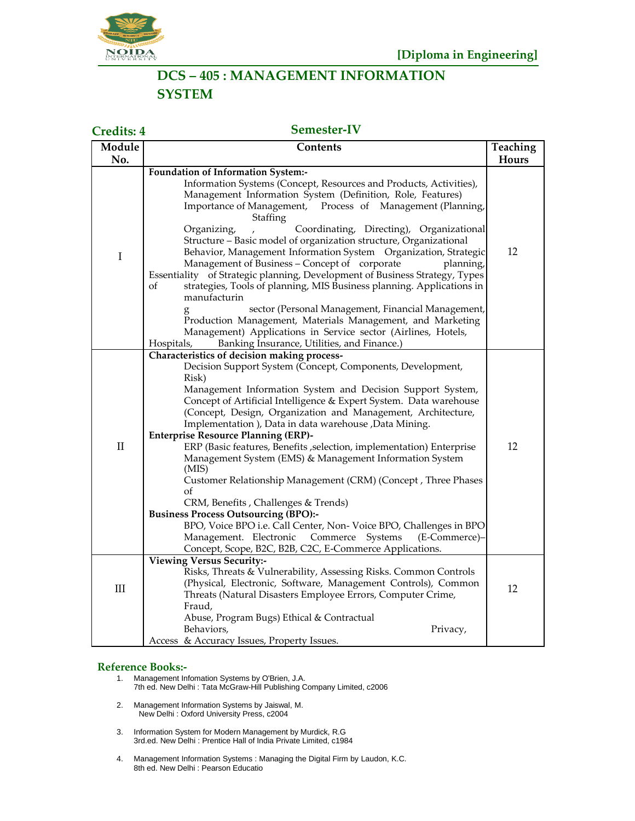

## **DCS – 405 : MANAGEMENT INFORMATION SYSTEM**

**Credits: 4 Semester-IV**

| Module       | <b>Contents</b>                                                                                                                                                                                                                                                                                                                                                                                                                                                                                                                                                                                                                                                                                                                                                                                                                                                                                                                                                                                          |    |
|--------------|----------------------------------------------------------------------------------------------------------------------------------------------------------------------------------------------------------------------------------------------------------------------------------------------------------------------------------------------------------------------------------------------------------------------------------------------------------------------------------------------------------------------------------------------------------------------------------------------------------------------------------------------------------------------------------------------------------------------------------------------------------------------------------------------------------------------------------------------------------------------------------------------------------------------------------------------------------------------------------------------------------|----|
| No.          |                                                                                                                                                                                                                                                                                                                                                                                                                                                                                                                                                                                                                                                                                                                                                                                                                                                                                                                                                                                                          |    |
| $\mathbf I$  | Foundation of Information System:-<br>Information Systems (Concept, Resources and Products, Activities),<br>Management Information System (Definition, Role, Features)<br>Importance of Management, Process of Management (Planning,<br>Staffing<br>Coordinating, Directing), Organizational<br>Organizing,<br>Structure - Basic model of organization structure, Organizational<br>Behavior, Management Information System Organization, Strategic<br>Management of Business - Concept of corporate<br>planning,<br>Essentiality of Strategic planning, Development of Business Strategy, Types<br>οf<br>strategies, Tools of planning, MIS Business planning. Applications in<br>manufacturin<br>sector (Personal Management, Financial Management,<br>Production Management, Materials Management, and Marketing<br>Management) Applications in Service sector (Airlines, Hotels,                                                                                                                     | 12 |
| $\mathbf{I}$ | Banking Insurance, Utilities, and Finance.)<br>Hospitals,<br>Characteristics of decision making process-<br>Decision Support System (Concept, Components, Development,<br>Risk)<br>Management Information System and Decision Support System,<br>Concept of Artificial Intelligence & Expert System. Data warehouse<br>(Concept, Design, Organization and Management, Architecture,<br>Implementation ), Data in data warehouse , Data Mining.<br><b>Enterprise Resource Planning (ERP)-</b><br>ERP (Basic features, Benefits , selection, implementation) Enterprise<br>Management System (EMS) & Management Information System<br>(MIS)<br>Customer Relationship Management (CRM) (Concept, Three Phases<br>of<br>CRM, Benefits, Challenges & Trends)<br><b>Business Process Outsourcing (BPO):-</b><br>BPO, Voice BPO i.e. Call Center, Non-Voice BPO, Challenges in BPO<br>Management. Electronic<br>Commerce<br>Systems<br>(E-Commerce)-<br>Concept, Scope, B2C, B2B, C2C, E-Commerce Applications. | 12 |
| III          | <b>Viewing Versus Security:-</b><br>Risks, Threats & Vulnerability, Assessing Risks. Common Controls<br>(Physical, Electronic, Software, Management Controls), Common<br>Threats (Natural Disasters Employee Errors, Computer Crime,<br>Fraud,<br>Abuse, Program Bugs) Ethical & Contractual<br>Behaviors,<br>Privacy,<br>Access & Accuracy Issues, Property Issues.                                                                                                                                                                                                                                                                                                                                                                                                                                                                                                                                                                                                                                     | 12 |

#### **Reference Books:-**

- 1. Management Infomation Systems by O'Brien, J.A.
	- 7th ed. New Delhi : Tata McGraw-Hill Publishing Company Limited, c2006
- 2. Management Information Systems by Jaiswal, M. New Delhi : Oxford University Press, c2004
- 3. Information System for Modern Management by Murdick, R.G 3rd.ed. New Delhi : Prentice Hall of India Private Limited, c1984
- 4. Management Information Systems : Managing the Digital Firm by Laudon, K.C. 8th ed. New Delhi : Pearson Educatio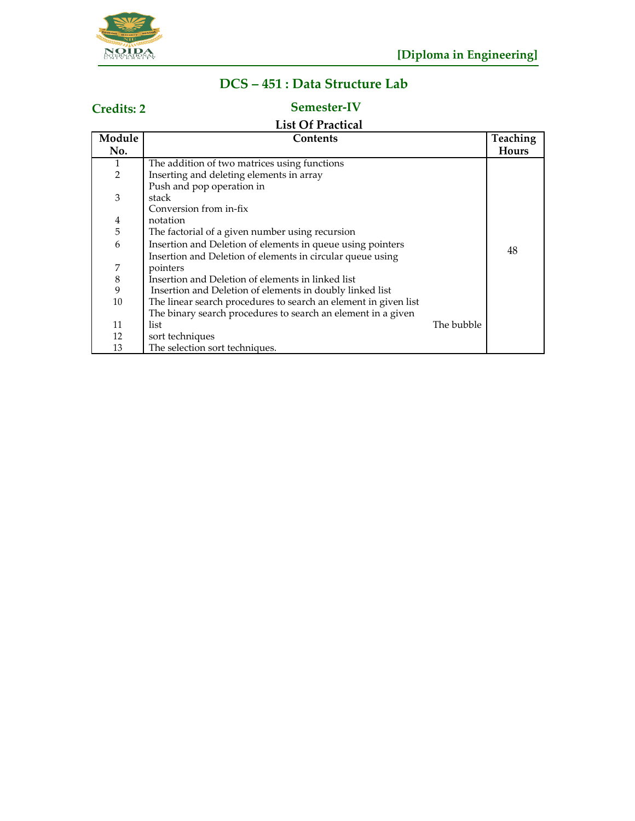

# **DCS – 451 : Data Structure Lab**

# **Credits: 2 Semester-IV**

## **List Of Practical**

| Module         | Contents                                                        |            | Teaching |
|----------------|-----------------------------------------------------------------|------------|----------|
| No.            |                                                                 |            | Hours    |
| 1              | The addition of two matrices using functions                    |            |          |
| $\overline{2}$ | Inserting and deleting elements in array                        |            |          |
|                | Push and pop operation in                                       |            |          |
| 3              | stack                                                           |            |          |
|                | Conversion from in-fix                                          |            |          |
| $\overline{4}$ | notation                                                        |            |          |
| 5              | The factorial of a given number using recursion                 |            |          |
| 6              | Insertion and Deletion of elements in queue using pointers      |            |          |
|                | Insertion and Deletion of elements in circular queue using      |            | 48       |
| 7              | pointers                                                        |            |          |
| $\,8\,$        | Insertion and Deletion of elements in linked list               |            |          |
| 9              | Insertion and Deletion of elements in doubly linked list        |            |          |
| 10             | The linear search procedures to search an element in given list |            |          |
|                | The binary search procedures to search an element in a given    |            |          |
| 11             | list                                                            | The bubble |          |
| 12             | sort techniques                                                 |            |          |
| 13             | The selection sort techniques.                                  |            |          |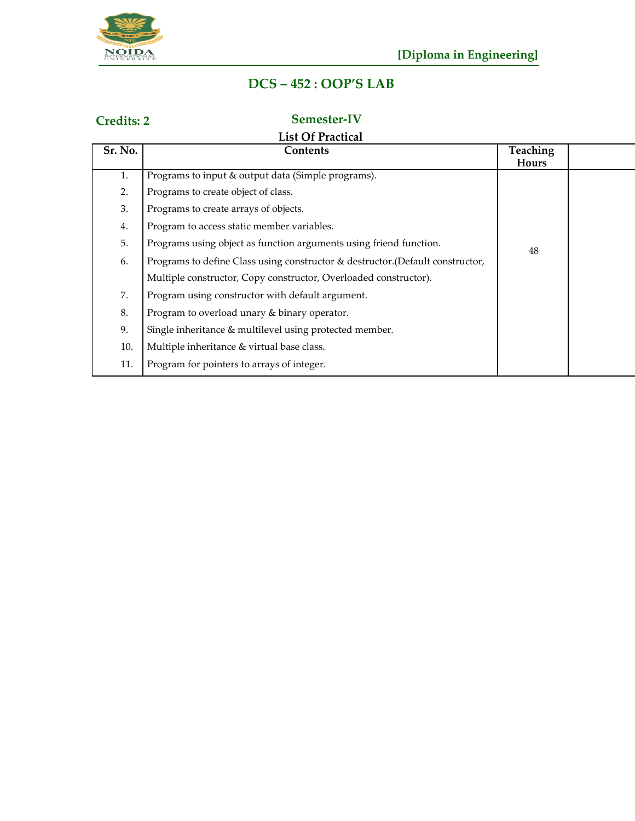

# **DCS – 452 : OOP'S LAB**

## **Credits: 2 Semester-IV**

## **List Of Practical**

| Sr. No. | <b>Contents</b>                                                                | <b>Teaching</b><br>Hours |  |
|---------|--------------------------------------------------------------------------------|--------------------------|--|
| 1.      | Programs to input & output data (Simple programs).                             |                          |  |
| 2.      | Programs to create object of class.                                            |                          |  |
| 3.      | Programs to create arrays of objects.                                          |                          |  |
| 4.      | Program to access static member variables.                                     |                          |  |
| 5.      | Programs using object as function arguments using friend function.             | 48                       |  |
| 6.      | Programs to define Class using constructor & destructor. (Default constructor, |                          |  |
|         | Multiple constructor, Copy constructor, Overloaded constructor).               |                          |  |
| 7.      | Program using constructor with default argument.                               |                          |  |
| 8.      | Program to overload unary & binary operator.                                   |                          |  |
| 9.      | Single inheritance & multilevel using protected member.                        |                          |  |
| 10.     | Multiple inheritance & virtual base class.                                     |                          |  |
| 11.     | Program for pointers to arrays of integer.                                     |                          |  |